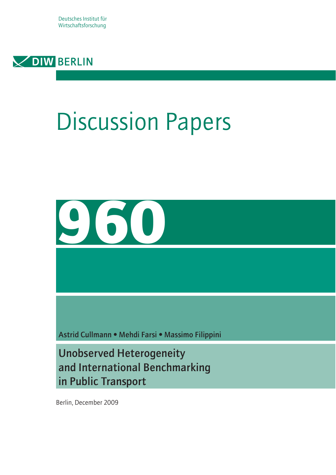Deutsches Institut für Wirtschaftsforschung



# Discussion Papers



Astrid Cullmann • Mehdi Farsi • Massimo Filippini

Unobserved Heterogeneity and International Benchmarking in Public Transport

Berlin, December 2009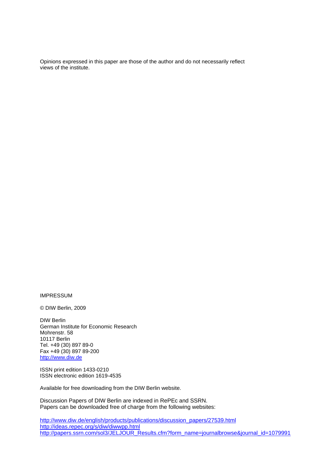Opinions expressed in this paper are those of the author and do not necessarily reflect views of the institute.

IMPRESSUM

© DIW Berlin, 2009

DIW Berlin German Institute for Economic Research Mohrenstr. 58 10117 Berlin Tel. +49 (30) 897 89-0 Fax +49 (30) 897 89-200 http://www.diw.de

ISSN print edition 1433-0210 ISSN electronic edition 1619-4535

Available for free downloading from the DIW Berlin website.

Discussion Papers of DIW Berlin are indexed in RePEc and SSRN. Papers can be downloaded free of charge from the following websites:

http://www.diw.de/english/products/publications/discussion\_papers/27539.html http://ideas.repec.org/s/diw/diwwpp.html http://papers.ssrn.com/sol3/JELJOUR\_Results.cfm?form\_name=journalbrowse&journal\_id=1079991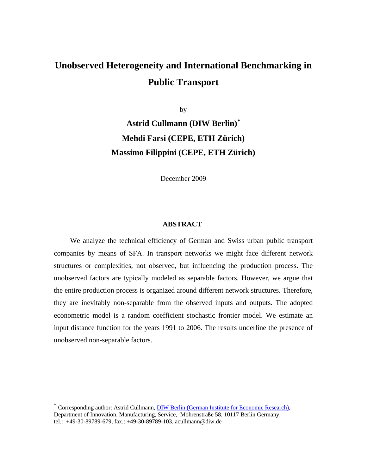# **Unobserved Heterogeneity and International Benchmarking in Public Transport**

by **Astrid Cullmann (DIW Berlin)**[∗](#page-2-0) **Mehdi Farsi (CEPE, ETH Zürich) Massimo Filippini (CEPE, ETH Zürich)** 

December 2009

#### **ABSTRACT**

We analyze the technical efficiency of German and Swiss urban public transport companies by means of SFA. In transport networks we might face different network structures or complexities, not observed, but influencing the production process. The unobserved factors are typically modeled as separable factors. However, we argue that the entire production process is organized around different network structures. Therefore, they are inevitably non-separable from the observed inputs and outputs. The adopted econometric model is a random coefficient stochastic frontier model. We estimate an input distance function for the years 1991 to 2006. The results underline the presence of unobserved non-separable factors.

 $\overline{a}$ 

<span id="page-2-0"></span><sup>\*</sup> Corresponding author: Astrid Cullmann, **[DIW Berlin \(German Institute for Economic Research\)](http://www.diw.de/)**, Department of Innovation, Manufacturing, Service, Mohrenstraße 58, 10117 Berlin Germany, tel.: +49-30-89789-679, fax.: +49-30-89789-103, acullmann@diw.de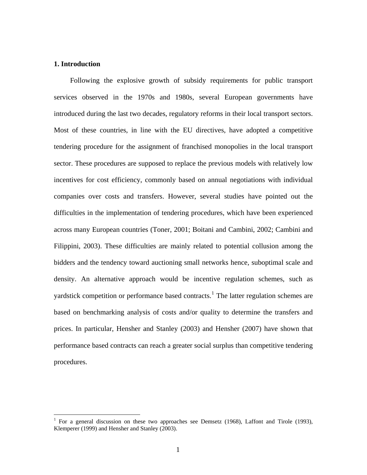### **1. Introduction**

 $\overline{a}$ 

Following the explosive growth of subsidy requirements for public transport services observed in the 1970s and 1980s, several European governments have introduced during the last two decades, regulatory reforms in their local transport sectors. Most of these countries, in line with the EU directives, have adopted a competitive tendering procedure for the assignment of franchised monopolies in the local transport sector. These procedures are supposed to replace the previous models with relatively low incentives for cost efficiency, commonly based on annual negotiations with individual companies over costs and transfers. However, several studies have pointed out the difficulties in the implementation of tendering procedures, which have been experienced across many European countries (Toner, 2001; Boitani and Cambini, 2002; Cambini and Filippini, 2003). These difficulties are mainly related to potential collusion among the bidders and the tendency toward auctioning small networks hence, suboptimal scale and density. An alternative approach would be incentive regulation schemes, such as yardstick competition or performance based contracts.<sup>[1](#page-4-0)</sup> The latter regulation schemes are based on benchmarking analysis of costs and/or quality to determine the transfers and prices. In particular, Hensher and Stanley (2003) and Hensher (2007) have shown that performance based contracts can reach a greater social surplus than competitive tendering procedures.

<span id="page-4-0"></span><sup>1</sup> For a general discussion on these two approaches see Demsetz (1968), Laffont and Tirole (1993), Klemperer (1999) and Hensher and Stanley (2003).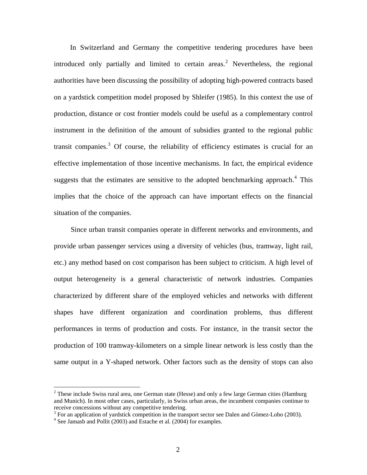In Switzerland and Germany the competitive tendering procedures have been introduced only partially and limited to certain areas.<sup>[2](#page-5-0)</sup> Nevertheless, the regional authorities have been discussing the possibility of adopting high-powered contracts based on a yardstick competition model proposed by Shleifer (1985). In this context the use of production, distance or cost frontier models could be useful as a complementary control instrument in the definition of the amount of subsidies granted to the regional public transit companies.<sup>[3](#page-5-1)</sup> Of course, the reliability of efficiency estimates is crucial for an effective implementation of those incentive mechanisms. In fact, the empirical evidence suggests that the estimates are sensitive to the adopted benchmarking approach. $4$  This implies that the choice of the approach can have important effects on the financial situation of the companies.

Since urban transit companies operate in different networks and environments, and provide urban passenger services using a diversity of vehicles (bus, tramway, light rail, etc.) any method based on cost comparison has been subject to criticism. A high level of output heterogeneity is a general characteristic of network industries. Companies characterized by different share of the employed vehicles and networks with different shapes have different organization and coordination problems, thus different performances in terms of production and costs. For instance, in the transit sector the production of 100 tramway-kilometers on a simple linear network is less costly than the same output in a Y-shaped network. Other factors such as the density of stops can also

1

<span id="page-5-0"></span> $2$  These include Swiss rural area, one German state (Hesse) and only a few large German cities (Hamburg and Munich). In most other cases, particularly, in Swiss urban areas, the incumbent companies continue to receive concessions without any competitive tendering.

<span id="page-5-1"></span> $3$  For an application of yardstick competition in the transport sector see Dalen and Gòmez-Lobo (2003).

<span id="page-5-2"></span> $4$  See Jamasb and Pollit (2003) and Estache et al. (2004) for examples.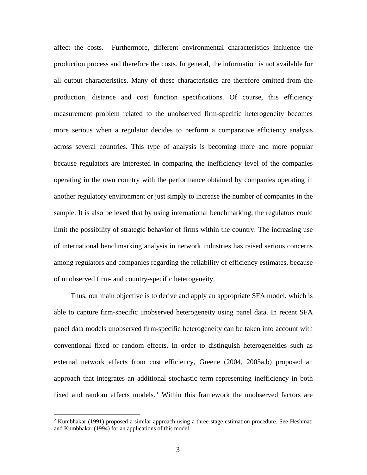affect the costs. Furthermore, different environmental characteristics influence the production process and therefore the costs. In general, the information is not available for all output characteristics. Many of these characteristics are therefore omitted from the production, distance and cost function specifications. Of course, this efficiency measurement problem related to the unobserved firm-specific heterogeneity becomes more serious when a regulator decides to perform a comparative efficiency analysis across several countries. This type of analysis is becoming more and more popular because regulators are interested in comparing the inefficiency level of the companies operating in the own country with the performance obtained by companies operating in another regulatory environment or just simply to increase the number of companies in the sample. It is also believed that by using international benchmarking, the regulators could limit the possibility of strategic behavior of firms within the country. The increasing use of international benchmarking analysis in network industries has raised serious concerns among regulators and companies regarding the reliability of efficiency estimates, because of unobserved firm- and country-specific heterogeneity.

Thus, our main objective is to derive and apply an appropriate SFA model, which is able to capture firm-specific unobserved heterogeneity using panel data. In recent SFA panel data models unobserved firm-specific heterogeneity can be taken into account with conventional fixed or random effects. In order to distinguish heterogeneities such as external network effects from cost efficiency, Greene (2004, 2005a,b) proposed an approach that integrates an additional stochastic term representing inefficiency in both fixed and random effects models.<sup>[5](#page-6-0)</sup> Within this framework the unobserved factors are

1

<span id="page-6-0"></span><sup>&</sup>lt;sup>5</sup> Kumbhakar (1991) proposed a similar approach using a three-stage estimation procedure. See Heshmati and Kumbhakar (1994) for an applications of this model.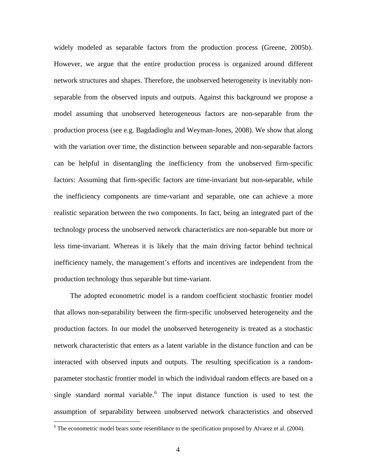widely modeled as separable factors from the production process (Greene, 2005b). However, we argue that the entire production process is organized around different network structures and shapes. Therefore, the unobserved heterogeneity is inevitably nonseparable from the observed inputs and outputs. Against this background we propose a model assuming that unobserved heterogeneous factors are non-separable from the production process (see e.g. Bagdadioglu and Weyman-Jones, 2008). We show that along with the variation over time, the distinction between separable and non-separable factors can be helpful in disentangling the inefficiency from the unobserved firm-specific factors: Assuming that firm-specific factors are time-invariant but non-separable, while the inefficiency components are time-variant and separable, one can achieve a more realistic separation between the two components. In fact, being an integrated part of the technology process the unobserved network characteristics are non-separable but more or less time-invariant. Whereas it is likely that the main driving factor behind technical inefficiency namely, the management's efforts and incentives are independent from the production technology thus separable but time-variant.

The adopted econometric model is a random coefficient stochastic frontier model that allows non-separability between the firm-specific unobserved heterogeneity and the production factors. In our model the unobserved heterogeneity is treated as a stochastic network characteristic that enters as a latent variable in the distance function and can be interacted with observed inputs and outputs. The resulting specification is a randomparameter stochastic frontier model in which the individual random effects are based on a single standard normal variable.<sup>[6](#page-7-0)</sup> The input distance function is used to test the assumption of separability between unobserved network characteristics and observed

 $\overline{a}$ 

<span id="page-7-0"></span> $6$  The econometric model bears some resemblance to the specification proposed by Alvarez et al. (2004).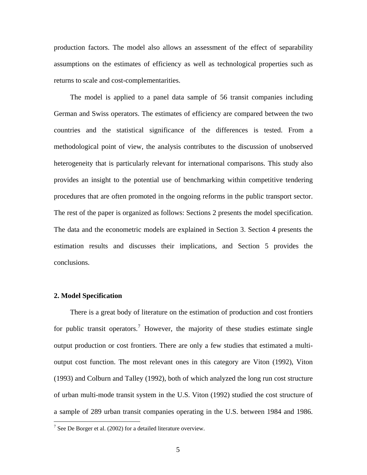production factors. The model also allows an assessment of the effect of separability assumptions on the estimates of efficiency as well as technological properties such as returns to scale and cost-complementarities.

The model is applied to a panel data sample of 56 transit companies including German and Swiss operators. The estimates of efficiency are compared between the two countries and the statistical significance of the differences is tested. From a methodological point of view, the analysis contributes to the discussion of unobserved heterogeneity that is particularly relevant for international comparisons. This study also provides an insight to the potential use of benchmarking within competitive tendering procedures that are often promoted in the ongoing reforms in the public transport sector. The rest of the paper is organized as follows: Sections 2 presents the model specification. The data and the econometric models are explained in Section 3. Section 4 presents the estimation results and discusses their implications, and Section 5 provides the conclusions.

#### **2. Model Specification**

 $\overline{a}$ 

There is a great body of literature on the estimation of production and cost frontiers for public transit operators.<sup>[7](#page-8-0)</sup> However, the majority of these studies estimate single output production or cost frontiers. There are only a few studies that estimated a multioutput cost function. The most relevant ones in this category are Viton (1992), Viton (1993) and Colburn and Talley (1992), both of which analyzed the long run cost structure of urban multi-mode transit system in the U.S. Viton (1992) studied the cost structure of a sample of 289 urban transit companies operating in the U.S. between 1984 and 1986.

<span id="page-8-0"></span><sup>&</sup>lt;sup>7</sup> See De Borger et al. (2002) for a detailed literature overview.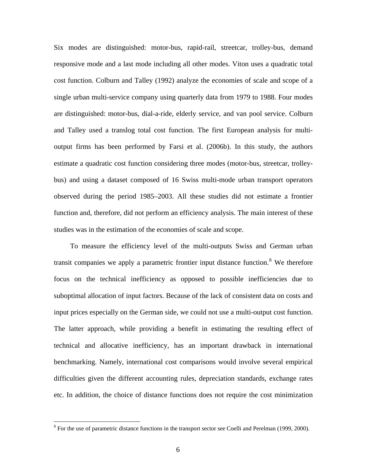Six modes are distinguished: motor-bus, rapid-rail, streetcar, trolley-bus, demand responsive mode and a last mode including all other modes. Viton uses a quadratic total cost function. Colburn and Talley (1992) analyze the economies of scale and scope of a single urban multi-service company using quarterly data from 1979 to 1988. Four modes are distinguished: motor-bus, dial-a-ride, elderly service, and van pool service. Colburn and Talley used a translog total cost function. The first European analysis for multioutput firms has been performed by Farsi et al. (2006b). In this study, the authors estimate a quadratic cost function considering three modes (motor-bus, streetcar, trolleybus) and using a dataset composed of 16 Swiss multi-mode urban transport operators observed during the period 1985–2003. All these studies did not estimate a frontier function and, therefore, did not perform an efficiency analysis. The main interest of these studies was in the estimation of the economies of scale and scope.

To measure the efficiency level of the multi-outputs Swiss and German urban transit companies we apply a parametric frontier input distance function.<sup>[8](#page-9-0)</sup> We therefore focus on the technical inefficiency as opposed to possible inefficiencies due to suboptimal allocation of input factors. Because of the lack of consistent data on costs and input prices especially on the German side, we could not use a multi-output cost function. The latter approach, while providing a benefit in estimating the resulting effect of technical and allocative inefficiency, has an important drawback in international benchmarking. Namely, international cost comparisons would involve several empirical difficulties given the different accounting rules, depreciation standards, exchange rates etc. In addition, the choice of distance functions does not require the cost minimization

 $\overline{a}$ 

<span id="page-9-0"></span> $8$  For the use of parametric distance functions in the transport sector see Coelli and Perelman (1999, 2000).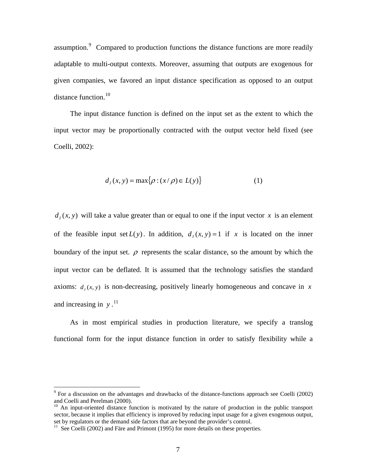assumption.<sup>[9](#page-10-0)</sup> Compared to production functions the distance functions are more readily adaptable to multi-output contexts. Moreover, assuming that outputs are exogenous for given companies, we favored an input distance specification as opposed to an output distance function. $10$ 

The input distance function is defined on the input set as the extent to which the input vector may be proportionally contracted with the output vector held fixed (see Coelli, 2002):

$$
d_I(x, y) = \max\{\rho : (x/\rho) \in L(y)\}\tag{1}
$$

 $d<sub>1</sub>(x, y)$  will take a value greater than or equal to one if the input vector *x* is an element of the feasible input set  $L(y)$ . In addition,  $d<sub>1</sub>(x, y) = 1$  if x is located on the inner boundary of the input set.  $\rho$  represents the scalar distance, so the amount by which the input vector can be deflated. It is assumed that the technology satisfies the standard axioms:  $d<sub>x</sub>(x, y)$  is non-decreasing, positively linearly homogeneous and concave in *x* and increasing in  $y$ .<sup>[11](#page-10-2)</sup>

As in most empirical studies in production literature, we specify a translog functional form for the input distance function in order to satisfy flexibility while a

<span id="page-10-0"></span><sup>&</sup>lt;sup>9</sup> For a discussion on the advantages and drawbacks of the distance-functions approach see Coelli (2002) and Coelli and Perelman (2000).

<span id="page-10-1"></span> $10$  An input-oriented distance function is motivated by the nature of production in the public transport sector, because it implies that efficiency is improved by reducing input usage for a given exogenous output, set by regulators or the demand side factors that are beyond the provider's control.

<span id="page-10-2"></span> $11$  See Coelli (2002) and Färe and Primont (1995) for more details on these properties.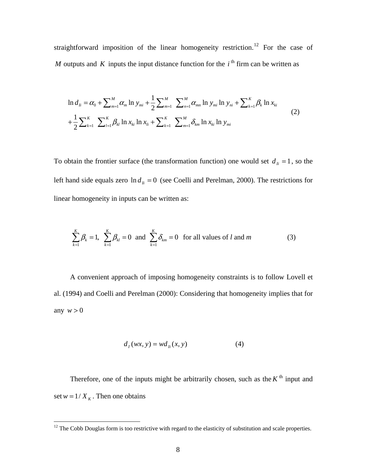straightforward imposition of the linear homogeneity restriction.<sup>[12](#page-11-0)</sup> For the case of *M* outputs and *K* inputs the input distance function for the  $i<sup>th</sup>$  firm can be written as

$$
\ln d_{I_i} = \alpha_0 + \sum_{m=1}^{M} \alpha_m \ln y_{mi} + \frac{1}{2} \sum_{m=1}^{M} \sum_{n=1}^{M} \alpha_{mn} \ln y_{mi} \ln y_{ni} + \sum_{k=1}^{K} \beta_k \ln x_{ki}
$$
  
+ 
$$
\frac{1}{2} \sum_{k=1}^{K} \sum_{l=1}^{K} \beta_{kl} \ln x_{ki} \ln x_{li} + \sum_{k=1}^{K} \sum_{m=1}^{M} \delta_{km} \ln x_{ki} \ln y_{mi}
$$
 (2)

To obtain the frontier surface (the transformation function) one would set  $d_i = 1$ , so the left hand side equals zero  $\ln d_h = 0$  (see Coelli and Perelman, 2000). The restrictions for linear homogeneity in inputs can be written as:

$$
\sum_{k=1}^{K} \beta_k = 1, \quad \sum_{k=1}^{K} \beta_k = 0 \quad \text{and} \quad \sum_{k=1}^{K} \delta_{km} = 0 \quad \text{for all values of } l \text{ and } m \tag{3}
$$

A convenient approach of imposing homogeneity constraints is to follow Lovell et al. (1994) and Coelli and Perelman (2000): Considering that homogeneity implies that for any  $w > 0$ 

$$
d_I(wx, y) = wd_{I_i}(x, y)
$$
 (4)

Therefore, one of the inputs might be arbitrarily chosen, such as the  $K<sup>th</sup>$  input and set  $w = 1/X_K$ . Then one obtains

<span id="page-11-0"></span><sup>&</sup>lt;sup>12</sup> The Cobb Douglas form is too restrictive with regard to the elasticity of substitution and scale properties.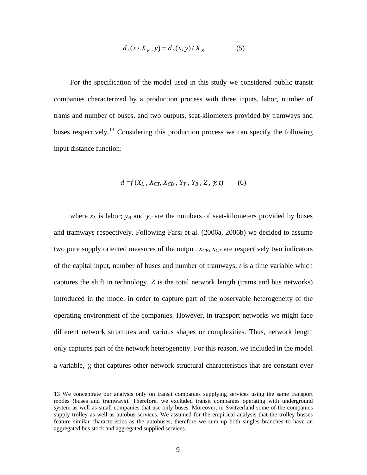$$
d_I(x/X_K, y) = d_I(x, y)/X_K
$$
 (5)

For the specification of the model used in this study we considered public transit companies characterized by a production process with three inputs, labor, number of trams and number of buses, and two outputs, seat-kilometers provided by tramways and buses respectively.<sup>[13](#page-12-0)</sup> Considering this production process we can specify the following input distance function:

$$
d = f(X_L, X_{CT}, X_{CB}, Y_T, Y_B, Z, \gamma, t) \tag{6}
$$

where  $x_L$  is labor;  $y_B$  and  $y_T$  are the numbers of seat-kilometers provided by buses and tramways respectively. Following Farsi et al. (2006a, 2006b) we decided to assume two pure supply oriented measures of the output.  $x_{CB}$ ,  $x_{CT}$  are respectively two indicators of the capital input, number of buses and number of tramways; *t* is a time variable which captures the shift in technology, *Z* is the total network length (trams and bus networks) introduced in the model in order to capture part of the observable heterogeneity of the operating environment of the companies. However, in transport networks we might face different network structures and various shapes or complexities. Thus, network length only captures part of the network heterogeneity. For this reason, we included in the model a variable, γ, that captures other network structural characteristics that are constant over

 $\overline{a}$ 

<span id="page-12-0"></span><sup>13</sup> We concentrate our analysis only on transit companies supplying services using the same transport modes (buses and tramways). Therefore, we excluded transit companies operating with underground system as well as small companies that use only buses. Moreover, in Switzerland some of the companies supply trolley as well as autobus services. We assumed for the empirical analysis that the trolley busses feature similar characteristics as the autobuses, therefore we sum up both singles branches to have an aggregated bus stock and aggregated supplied services.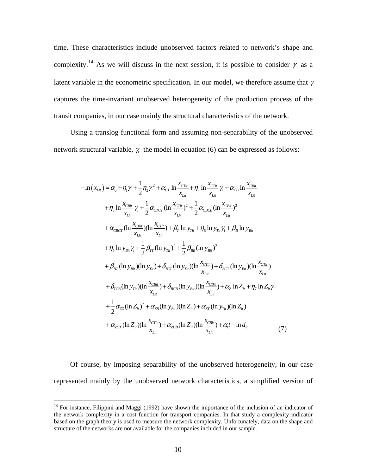time. These characteristics include unobserved factors related to network's shape and complexity.<sup>[14](#page-13-0)</sup> As we will discuss in the next session, it is possible to consider  $\gamma$  as a latent variable in the econometric specification. In our model, we therefore assume that  $\gamma$ captures the time-invariant unobserved heterogeneity of the production process of the transit companies, in our case mainly the structural characteristics of the network.

Using a translog functional form and assuming non-separability of the unobserved network structural variable,  $\chi$  the model in equation (6) can be expressed as follows:

$$
-\ln(x_{Li} - \alpha_{0} + \eta_{1}\gamma_{i} + \frac{1}{2}\eta_{2}\gamma_{i}^{2} + \alpha_{CT} \ln \frac{x_{CTu}}{x_{Li}} + \eta_{4} \ln \frac{x_{CTu}}{x_{Li}} \gamma_{i} + \alpha_{CB} \ln \frac{x_{CBi}}{x_{Li}}
$$
  
+  $\eta_{3} \ln \frac{x_{CBi}}{x_{Li}} \gamma_{i} + \frac{1}{2} \alpha_{CTCT} (\ln \frac{x_{CTu}}{x_{Li}})^{2} + \frac{1}{2} \alpha_{CBCB} (\ln \frac{x_{CBi}}{x_{Li}})^{2}$   
+  $\alpha_{CBCT} (\ln \frac{x_{CBi}}{x_{Li}})(\ln \frac{x_{CTu}}{x_{Li}}) + \beta_{T} \ln y_{Ti} + \eta_{6} \ln y_{Ti} \gamma_{i} + \beta_{B} \ln y_{Bi}$   
+  $\eta_{5} \ln y_{Bi} \gamma_{i} + \frac{1}{2} \beta_{TT} (\ln y_{Ti})^{2} + \frac{1}{2} \beta_{BB} (\ln y_{Bi})^{2}$   
+  $\beta_{BT} (\ln y_{Bi})(\ln y_{Ti}) + \delta_{TCT} (\ln y_{Ti}) (\ln \frac{x_{CTu}}{x_{Li}}) + \delta_{BCT} (\ln y_{Bi})(\ln \frac{x_{CTu}}{x_{Li}})$   
+  $\delta_{TCB} (\ln y_{Ti})(\ln \frac{x_{CBi}}{x_{Li}}) + \delta_{BCB} (\ln y_{Bi})(\ln \frac{x_{CBi}}{x_{Li}}) + \alpha_{2} \ln Z_{i} + \eta_{7} \ln Z_{i} \gamma_{i}$   
+  $\frac{1}{2} \alpha_{ZZ} (\ln Z_{i1})^{2} + \alpha_{ZB} (\ln y_{Bi})(\ln Z_{i1}) + \alpha_{ZT} (\ln y_{Ti})(\ln Z_{i1})$   
+  $\alpha_{ZCT} (\ln Z_{i1})^{2} + \alpha_{ZB} (\ln y_{Bi})(\ln Z_{i1}) + \alpha_{ZT} (\ln y_{Ti})(\ln Z_{i1})$   
+  $\alpha_{ZCT} (\ln Z_{i1})(\ln \frac{x_{CTu}}{x_{Li}}) + \alpha_{ZCB} (\ln Z_{i1})(\ln \frac{x_{CBi}}{x_{Li}}) + \alpha_{t}t - \ln d_{it}$  (7)

Of course, by imposing separability of the unobserved heterogeneity, in our case represented mainly by the unobserved network characteristics, a simplified version of

<u>.</u>

<span id="page-13-0"></span> $14$  For instance, Filippini and Maggi (1992) have shown the importance of the inclusion of an indicator of the network complexity in a cost function for transport companies. In that study a complexity indicator based on the graph theory is used to measure the network complexity. Unfortunately, data on the shape and structure of the networks are not available for the companies included in our sample.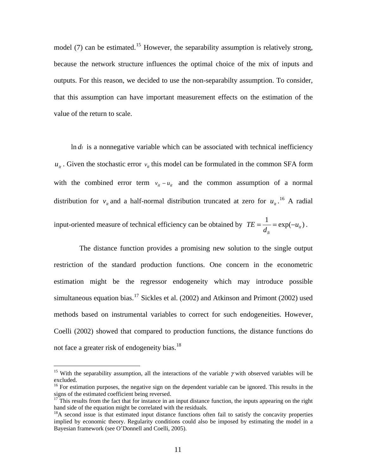model (7) can be estimated.<sup>[15](#page-14-0)</sup> However, the separability assumption is relatively strong, because the network structure influences the optimal choice of the mix of inputs and outputs. For this reason, we decided to use the non-separabilty assumption. To consider, that this assumption can have important measurement effects on the estimation of the value of the return to scale.

 $\ln d_i$  is a nonnegative variable which can be associated with technical inefficiency  $u_{it}$ . Given the stochastic error  $v_{it}$  this model can be formulated in the common SFA form with the combined error term  $v_{it} - u_{it}$  and the common assumption of a normal distribution for  $v_{i}$  and a half-normal distribution truncated at zero for  $u_{i}$ .<sup>[16](#page-14-1)</sup> A radial input-oriented measure of technical efficiency can be obtained by  $TE = \frac{1}{1} = \exp(-u_{it})$  $TE = \frac{1}{d_{ii}} = \exp(-u_{ii}).$ 

The distance function provides a promising new solution to the single output restriction of the standard production functions. One concern in the econometric estimation might be the regressor endogeneity which may introduce possible simultaneous equation bias.<sup>[17](#page-14-2)</sup> Sickles et al. (2002) and Atkinson and Primont (2002) used methods based on instrumental variables to correct for such endogeneities. However, Coelli (2002) showed that compared to production functions, the distance functions do not face a greater risk of endogeneity bias.<sup>[18](#page-14-3)</sup>

1

<span id="page-14-0"></span><sup>&</sup>lt;sup>15</sup> With the separability assumption, all the interactions of the variable  $\gamma$  with observed variables will be excluded.

<span id="page-14-1"></span><sup>&</sup>lt;sup>16</sup> For estimation purposes, the negative sign on the dependent variable can be ignored. This results in the signs of the estimated coefficient being reversed.

<span id="page-14-2"></span><sup>&</sup>lt;sup>17</sup> This results from the fact that for instance in an input distance function, the inputs appearing on the right hand side of the equation might be correlated with the residuals.

<span id="page-14-3"></span><sup>&</sup>lt;sup>18</sup>A second issue is that estimated input distance functions often fail to satisfy the concavity properties implied by economic theory. Regularity conditions could also be imposed by estimating the model in a Bayesian framework (see O'Donnell and Coelli, 2005).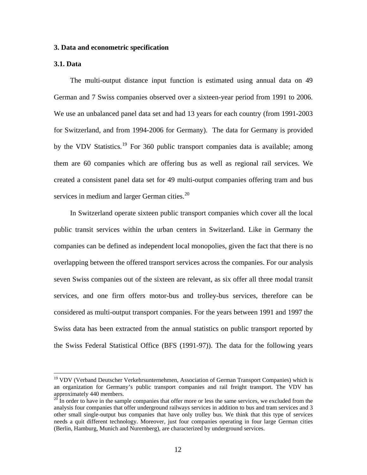#### **3. Data and econometric specification**

#### **3.1. Data**

1

The multi-output distance input function is estimated using annual data on 49 German and 7 Swiss companies observed over a sixteen-year period from 1991 to 2006. We use an unbalanced panel data set and had 13 years for each country (from 1991-2003 for Switzerland, and from 1994-2006 for Germany). The data for Germany is provided by the VDV Statistics.<sup>[19](#page-15-0)</sup> For 360 public transport companies data is available; among them are 60 companies which are offering bus as well as regional rail services. We created a consistent panel data set for 49 multi-output companies offering tram and bus services in medium and larger German cities.<sup>[20](#page-15-1)</sup>

In Switzerland operate sixteen public transport companies which cover all the local public transit services within the urban centers in Switzerland. Like in Germany the companies can be defined as independent local monopolies, given the fact that there is no overlapping between the offered transport services across the companies. For our analysis seven Swiss companies out of the sixteen are relevant, as six offer all three modal transit services, and one firm offers motor-bus and trolley-bus services, therefore can be considered as multi-output transport companies. For the years between 1991 and 1997 the Swiss data has been extracted from the annual statistics on public transport reported by the Swiss Federal Statistical Office (BFS (1991-97)). The data for the following years

<span id="page-15-0"></span><sup>&</sup>lt;sup>19</sup> VDV (Verband Deutscher Verkehrsunternehmen, Association of German Transport Companies) which is an organization for Germany's public transport companies and rail freight transport. The VDV has approximately 440 members.

<span id="page-15-1"></span> $20 \text{ In order to have in the sample companies that offer more or less the same services, we excluded from the$ analysis four companies that offer underground railways services in addition to bus and tram services and 3 other small single-output bus companies that have only trolley bus. We think that this type of services needs a quit different technology. Moreover, just four companies operating in four large German cities (Berlin, Hamburg, Munich and Nuremberg), are characterized by underground services.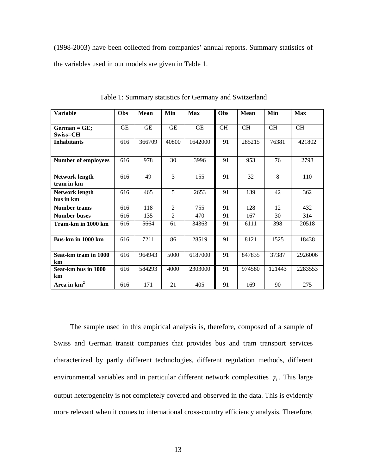(1998-2003) have been collected from companies' annual reports. Summary statistics of the variables used in our models are given in Table 1.

| <b>Variable</b>                     | <b>Obs</b> | <b>Mean</b> | Min            | Max       | Obs       | <b>Mean</b> | Min       | <b>Max</b> |
|-------------------------------------|------------|-------------|----------------|-----------|-----------|-------------|-----------|------------|
| $German = GE;$<br>$Swiss = CH$      | <b>GE</b>  | <b>GE</b>   | <b>GE</b>      | <b>GE</b> | <b>CH</b> | <b>CH</b>   | <b>CH</b> | <b>CH</b>  |
| <b>Inhabitants</b>                  | 616        | 366709      | 40800          | 1642000   | 91        | 285215      | 76381     | 421802     |
| <b>Number of employees</b>          | 616        | 978         | 30             | 3996      | 91        | 953         | 76        | 2798       |
| <b>Network length</b><br>tram in km | 616        | 49          | $\overline{3}$ | 155       | 91        | 32          | 8         | 110        |
| <b>Network length</b><br>bus in km  | 616        | 465         | 5              | 2653      | 91        | 139         | 42        | 362        |
| <b>Number trams</b>                 | 616        | 118         | 2              | 755       | 91        | 128         | 12        | 432        |
| <b>Number buses</b>                 | 616        | 135         | $\overline{2}$ | 470       | 91        | 167         | 30        | 314        |
| Tram-km in 1000 km                  | 616        | 5664        | 61             | 34363     | 91        | 6111        | 398       | 20518      |
| <b>Bus-km</b> in 1000 km            | 616        | 7211        | 86             | 28519     | 91        | 8121        | 1525      | 18438      |
| Seat-km tram in 1000<br>km          | 616        | 964943      | 5000           | 6187000   | 91        | 847835      | 37387     | 2926006    |
| Seat-km bus in 1000<br>km           | 616        | 584293      | 4000           | 2303000   | 91        | 974580      | 121443    | 2283553    |
| Area in $km2$                       | 616        | 171         | 21             | 405       | 91        | 169         | 90        | 275        |

Table 1: Summary statistics for Germany and Switzerland

The sample used in this empirical analysis is, therefore, composed of a sample of Swiss and German transit companies that provides bus and tram transport services characterized by partly different technologies, different regulation methods, different environmental variables and in particular different network complexities  $\gamma_i$ . This large output heterogeneity is not completely covered and observed in the data. This is evidently more relevant when it comes to international cross-country efficiency analysis. Therefore,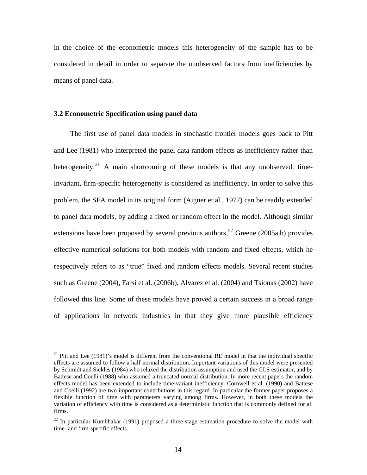in the choice of the econometric models this heterogeneity of the sample has to be considered in detail in order to separate the unobserved factors from inefficiencies by means of panel data.

#### **3.2 Econometric Specification using panel data**

 $\overline{a}$ 

The first use of panel data models in stochastic frontier models goes back to Pitt and Lee (1981) who interpreted the panel data random effects as inefficiency rather than heterogeneity.<sup>[21](#page-17-0)</sup> A main shortcoming of these models is that any unobserved, timeinvariant, firm-specific heterogeneity is considered as inefficiency. In order to solve this problem, the SFA model in its original form (Aigner et al., 1977) can be readily extended to panel data models, by adding a fixed or random effect in the model. Although similar extensions have been proposed by several previous authors,  $^{22}$  $^{22}$  $^{22}$  Greene (2005a,b) provides effective numerical solutions for both models with random and fixed effects, which he respectively refers to as "true" fixed and random effects models. Several recent studies such as Greene (2004), Farsi et al. (2006b), Alvarez et al. (2004) and Tsionas (2002) have followed this line. Some of these models have proved a certain success in a broad range of applications in network industries in that they give more plausible efficiency

<span id="page-17-0"></span> $21$  Pitt and Lee (1981)'s model is different from the conventional RE model in that the individual specific effects are assumed to follow a half-normal distribution. Important variations of this model were presented by Schmidt and Sickles (1984) who relaxed the distribution assumption and used the GLS estimator, and by Battese and Coelli (1988) who assumed a truncated normal distribution. In more recent papers the random effects model has been extended to include time-variant inefficiency. Cornwell et al. (1990) and Battese and Coelli (1992) are two important contributions in this regard. In particular the former paper proposes a flexible function of time with parameters varying among firms. However, in both these models the variation of efficiency with time is considered as a deterministic function that is commonly defined for all firms.

<span id="page-17-1"></span> $22$  In particular Kumbhakar (1991) proposed a three-stage estimation procedure to solve the model with time- and firm-specific effects.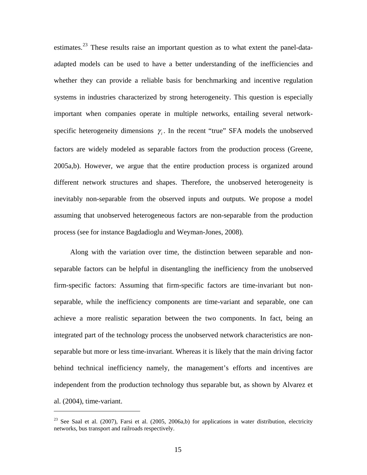estimates.<sup>[23](#page-18-0)</sup> These results raise an important question as to what extent the panel-dataadapted models can be used to have a better understanding of the inefficiencies and whether they can provide a reliable basis for benchmarking and incentive regulation systems in industries characterized by strong heterogeneity. This question is especially important when companies operate in multiple networks, entailing several networkspecific heterogeneity dimensions  $\gamma_i$ . In the recent "true" SFA models the unobserved factors are widely modeled as separable factors from the production process (Greene, 2005a,b). However, we argue that the entire production process is organized around different network structures and shapes. Therefore, the unobserved heterogeneity is inevitably non-separable from the observed inputs and outputs. We propose a model assuming that unobserved heterogeneous factors are non-separable from the production process (see for instance Bagdadioglu and Weyman-Jones, 2008).

Along with the variation over time, the distinction between separable and nonseparable factors can be helpful in disentangling the inefficiency from the unobserved firm-specific factors: Assuming that firm-specific factors are time-invariant but nonseparable, while the inefficiency components are time-variant and separable, one can achieve a more realistic separation between the two components. In fact, being an integrated part of the technology process the unobserved network characteristics are nonseparable but more or less time-invariant. Whereas it is likely that the main driving factor behind technical inefficiency namely, the management's efforts and incentives are independent from the production technology thus separable but, as shown by Alvarez et al. (2004), time-variant.

1

<span id="page-18-0"></span> $23$  See Saal et al. (2007), Farsi et al. (2005, 2006a,b) for applications in water distribution, electricity networks, bus transport and railroads respectively.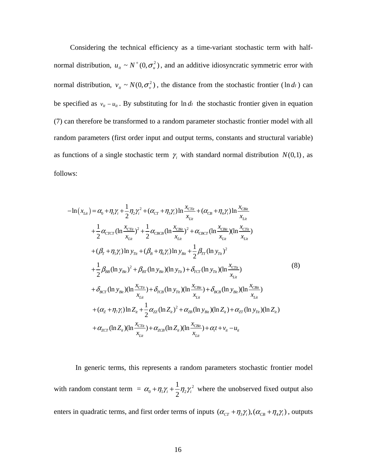Considering the technical efficiency as a time-variant stochastic term with halfnormal distribution,  $u_{it} \sim N^+(0, \sigma_u^2)$ , and an additive idiosyncratic symmetric error with normal distribution,  $v_{it} \sim N(0, \sigma_v^2)$ , the distance from the stochastic frontier (ln *di*) can be specified as  $v_{it} - u_{it}$ . By substituting for  $\ln d_i$  the stochastic frontier given in equation (7) can therefore be transformed to a random parameter stochastic frontier model with all random parameters (first order input and output terms, constants and structural variable) as functions of a single stochastic term  $\gamma_i$  with standard normal distribution  $N(0,1)$ , as follows:

$$
-\ln(x_{Li}) = \alpha_{0} + \eta_{1}\gamma_{i} + \frac{1}{2}\eta_{2}\gamma_{i}^{2} + (\alpha_{CT} + \eta_{3}\gamma_{i})\ln\frac{x_{CTi}}{x_{Li}} + (\alpha_{CB} + \eta_{4}\gamma_{i})\ln\frac{x_{CBi}}{x_{Li}}
$$
  
+  $\frac{1}{2}\alpha_{CTCT}(\ln\frac{x_{CTi}}{x_{Li}})^{2} + \frac{1}{2}\alpha_{CBCB}(\ln\frac{x_{CBi}}{x_{Li}})^{2} + \alpha_{CBCT}(\ln\frac{x_{CBi}}{x_{Li}})(\ln\frac{x_{CTi}}{x_{Li}})$   
+  $(\beta_{T} + \eta_{5}\gamma_{i})\ln y_{Ti} + (\beta_{B} + \eta_{6}\gamma_{i})\ln y_{Bi} + \frac{1}{2}\beta_{IT}(\ln y_{Ti})^{2}$   
+  $\frac{1}{2}\beta_{BB}(\ln y_{Bi})^{2} + \beta_{BT}(\ln y_{Bi})(\ln y_{Ti}) + \delta_{TCT}(\ln y_{Ti})(\ln\frac{x_{CTi}}{x_{Li}})$   
+  $\delta_{BCT}(\ln y_{Bi})(\ln\frac{x_{CTi}}{x_{Li}}) + \delta_{TCB}(\ln y_{Ti})(\ln\frac{x_{CBi}}{x_{Li}}) + \delta_{ECB}(\ln y_{Bi})(\ln\frac{x_{CBi}}{x_{Li}})$   
+  $(\alpha_{Z} + \eta_{7}\gamma_{i})\ln Z_{ii} + \frac{1}{2}\alpha_{ZZ}(\ln Z_{ii})^{2} + \alpha_{ZB}(\ln y_{Bi})(\ln Z_{ii}) + \alpha_{ZT}(\ln y_{Ti})(\ln Z_{ii})$   
+  $\alpha_{ZCT}(\ln Z_{ii})(\ln\frac{x_{CTi}}{x_{Li}}) + \alpha_{ZCB}(\ln Z_{li})(\ln\frac{x_{CBi}}{x_{Li}}) + \alpha_{t} + \gamma_{u} - u_{u}$  (10)

 In generic terms, this represents a random parameters stochastic frontier model with random constant term =  $\alpha_0 + \eta_1 \gamma_i + \frac{1}{2} \eta_2 \gamma_i^2$  $\alpha_0 + \eta_1 \gamma_i + \frac{1}{2} \eta_2 \gamma_i^2$  where the unobserved fixed output also enters in quadratic terms, and first order terms of inputs  $( \alpha_{CT} + \eta_3 \gamma_i),(\alpha_{CB} + \eta_4 \gamma_i)$ , outputs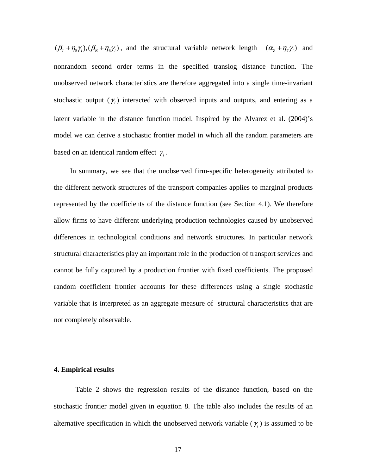$(\beta_T + \eta_5 \gamma_i),(\beta_B + \eta_6 \gamma_i)$ , and the structural variable network length  $(\alpha_Z + \eta_7 \gamma_i)$  and nonrandom second order terms in the specified translog distance function. The unobserved network characteristics are therefore aggregated into a single time-invariant stochastic output  $(\gamma_i)$  interacted with observed inputs and outputs, and entering as a latent variable in the distance function model. Inspired by the Alvarez et al. (2004)'s model we can derive a stochastic frontier model in which all the random parameters are based on an identical random effect  $\gamma_i$ .

In summary, we see that the unobserved firm-specific heterogeneity attributed to the different network structures of the transport companies applies to marginal products represented by the coefficients of the distance function (see Section 4.1). We therefore allow firms to have different underlying production technologies caused by unobserved differences in technological conditions and networtk structures. In particular network structural characteristics play an important role in the production of transport services and cannot be fully captured by a production frontier with fixed coefficients. The proposed random coefficient frontier accounts for these differences using a single stochastic variable that is interpreted as an aggregate measure of structural characteristics that are not completely observable.

## **4. Empirical results**

Table 2 shows the regression results of the distance function, based on the stochastic frontier model given in equation 8. The table also includes the results of an alternative specification in which the unobserved network variable  $(\gamma_i)$  is assumed to be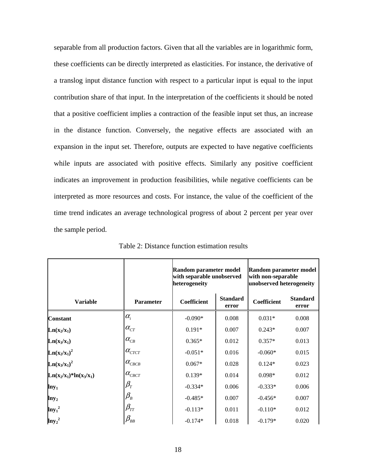separable from all production factors. Given that all the variables are in logarithmic form, these coefficients can be directly interpreted as elasticities. For instance, the derivative of a translog input distance function with respect to a particular input is equal to the input contribution share of that input. In the interpretation of the coefficients it should be noted that a positive coefficient implies a contraction of the feasible input set thus, an increase in the distance function. Conversely, the negative effects are associated with an expansion in the input set. Therefore, outputs are expected to have negative coefficients while inputs are associated with positive effects. Similarly any positive coefficient indicates an improvement in production feasibilities, while negative coefficients can be interpreted as more resources and costs. For instance, the value of the coefficient of the time trend indicates an average technological progress of about 2 percent per year over the sample period.

|                           |                                       | Random parameter model<br>with separable unobserved<br>heterogeneity |                          | Random parameter model<br>with non-separable<br>unobserved heterogeneity |                          |  |
|---------------------------|---------------------------------------|----------------------------------------------------------------------|--------------------------|--------------------------------------------------------------------------|--------------------------|--|
| <b>Variable</b>           | <b>Parameter</b>                      | <b>Coefficient</b>                                                   | <b>Standard</b><br>error | Coefficient                                                              | <b>Standard</b><br>error |  |
| <b>Constant</b>           | $\alpha_i$                            | $-0.090*$                                                            | 0.008                    | $0.031*$                                                                 | 0.008                    |  |
| $Ln(x_2/x_1)$             | $\alpha_{\scriptscriptstyle{CT}}^{}$  | $0.191*$                                                             | 0.007                    | $0.243*$                                                                 | 0.007                    |  |
| $Ln(x_3/x_1)$             | $\alpha_{\scriptscriptstyle CB}$      | $0.365*$                                                             | 0.012                    | $0.357*$                                                                 | 0.013                    |  |
| $Ln(x_2/x_1)^2$           | $\alpha_{\scriptscriptstyle CTCT}^{}$ | $-0.051*$                                                            | 0.016                    | $-0.060*$                                                                | 0.015                    |  |
| $Ln(x_3/x_1)^2$           | $\alpha_{_{CECB}}$                    | $0.067*$                                                             | 0.028                    | $0.124*$                                                                 | 0.023                    |  |
| $Ln(x_2/x_1)*ln(x_3/x_1)$ | $\alpha_{_{CBCT}}$                    | $0.139*$                                                             | 0.014                    | $0.098*$                                                                 | 0.012                    |  |
| $lny_1$                   | $\beta_{\scriptscriptstyle T}$        | $-0.334*$                                                            | 0.006                    | $-0.333*$                                                                | 0.006                    |  |
| $\ln y_2$                 | $\beta_{\scriptscriptstyle B}$        | $-0.485*$                                                            | 0.007                    | $-0.456*$                                                                | 0.007                    |  |
| $lny_1^2$                 | $\beta_{\scriptscriptstyle TT}$       | $-0.113*$                                                            | 0.011                    | $-0.110*$                                                                | 0.012                    |  |
| $lny_2^2$                 | $\beta_{\scriptscriptstyle BB}$       | $-0.174*$                                                            | 0.018                    | $-0.179*$                                                                | 0.020                    |  |

Table 2: Distance function estimation results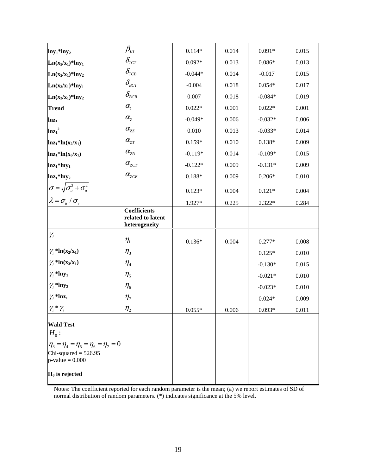| $lny_1*lny_2$                                                                                                       | $\beta_{\scriptscriptstyle BT}$                           | $0.114*$  | 0.014 | $0.091*$  | 0.015 |
|---------------------------------------------------------------------------------------------------------------------|-----------------------------------------------------------|-----------|-------|-----------|-------|
| $Ln(x_2/x_1)*lny_1$                                                                                                 | $\delta_{_{TCT}}$                                         | $0.092*$  | 0.013 | $0.086*$  | 0.013 |
| $Ln(x_2/x_1)*lny_2$                                                                                                 | $\delta_{\rm \scriptscriptstyle ICB}$                     | $-0.044*$ | 0.014 | $-0.017$  | 0.015 |
| $Ln(x_3/x_1)*lny_1$                                                                                                 | $\delta_{_{\scriptscriptstyle BCT}}$                      | $-0.004$  | 0.018 | $0.054*$  | 0.017 |
| $Ln(x_3/x_1)*lny_2$                                                                                                 | $\delta_{_{BCB}}$                                         | 0.007     | 0.018 | $-0.084*$ | 0.019 |
| <b>Trend</b>                                                                                                        | $\alpha_{\!\scriptscriptstyle t}$                         | $0.022*$  | 0.001 | $0.022*$  | 0.001 |
| $ln z_1$                                                                                                            | $\alpha_{\rm z}$                                          | $-0.049*$ | 0.006 | $-0.032*$ | 0.006 |
| $ln{z_1}^2$                                                                                                         | $\alpha_{zz}$                                             | 0.010     | 0.013 | $-0.033*$ | 0.014 |
| $ln z_1 * ln(x_2/x_1)$                                                                                              | $\alpha_{\rm zr}$                                         | $0.159*$  | 0.010 | $0.138*$  | 0.009 |
| $ln z_1 * ln(x_3/x_1)$                                                                                              | $\alpha_{\rm ZB}^{\rm}$                                   | $-0.119*$ | 0.014 | $-0.109*$ | 0.015 |
| $lnz_1*lny_1$                                                                                                       | $\alpha_{\rm zcr}$                                        | $-0.122*$ | 0.009 | $-0.131*$ | 0.009 |
| $lnz_1*lny_2$                                                                                                       | $\alpha_{_{ZCB}}$                                         | $0.188*$  | 0.009 | $0.206*$  | 0.010 |
| $\sigma = \sqrt{\sigma_u^2 + \sigma_u^2}$<br>$\lambda = \sigma_u / \sigma_v$                                        |                                                           | $0.123*$  | 0.004 | $0.121*$  | 0.004 |
|                                                                                                                     |                                                           | 1.927*    | 0.225 | $2.322*$  | 0.284 |
|                                                                                                                     | <b>Coefficients</b><br>related to latent<br>heterogeneity |           |       |           |       |
|                                                                                                                     |                                                           |           |       |           |       |
| $\gamma_i$                                                                                                          | $\eta_{\scriptscriptstyle 1}$                             | $0.136*$  | 0.004 | $0.277*$  | 0.008 |
| $\gamma_i$ *ln(x <sub>2</sub> /x <sub>1</sub> )                                                                     | $\eta_{\scriptscriptstyle 3}$                             |           |       | $0.125*$  | 0.010 |
| $\gamma_i$ *ln(x <sub>3</sub> /x <sub>1</sub> )                                                                     | $\eta_{\scriptscriptstyle 4}$                             |           |       | $-0.130*$ | 0.015 |
| $\gamma_i$ *lny <sub>1</sub>                                                                                        | $\eta_{\scriptscriptstyle 5}$                             |           |       | $-0.021*$ | 0.010 |
| $\gamma_i$ *lny <sub>2</sub>                                                                                        | $\eta_{\scriptscriptstyle 6}$                             |           |       | $-0.023*$ | 0.010 |
| $\gamma_i$ *lnz <sub>1</sub>                                                                                        | $\eta_{\scriptscriptstyle 7}$                             |           |       | $0.024*$  | 0.009 |
| $\gamma_i^* \gamma_i$                                                                                               | $\eta_{2}$                                                | $0.055*$  | 0.006 | $0.093*$  | 0.011 |
| $H_0$ :                                                                                                             |                                                           |           |       |           |       |
| <b>Wald Test</b><br>$\eta_3 = \eta_4 = \eta_5 = \eta_6 = \eta_7 = 0$<br>Chi-squared = $526.95$<br>$p-value = 0.000$ |                                                           |           |       |           |       |

Notes: The coefficient reported for each random parameter is the mean; (a) we report estimates of SD of normal distribution of random parameters. (\*) indicates significance at the 5% level.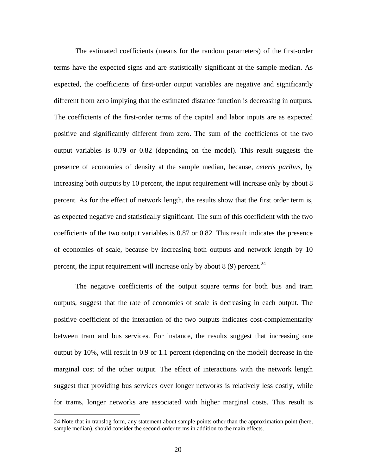The estimated coefficients (means for the random parameters) of the first-order terms have the expected signs and are statistically significant at the sample median. As expected, the coefficients of first-order output variables are negative and significantly different from zero implying that the estimated distance function is decreasing in outputs. The coefficients of the first-order terms of the capital and labor inputs are as expected positive and significantly different from zero. The sum of the coefficients of the two output variables is 0.79 or 0.82 (depending on the model). This result suggests the presence of economies of density at the sample median, because, *ceteris paribus*, by increasing both outputs by 10 percent, the input requirement will increase only by about 8 percent. As for the effect of network length, the results show that the first order term is, as expected negative and statistically significant. The sum of this coefficient with the two coefficients of the two output variables is 0.87 or 0.82. This result indicates the presence of economies of scale, because by increasing both outputs and network length by 10 percent, the input requirement will increase only by about 8 (9) percent.<sup>[24](#page-23-0)</sup>

The negative coefficients of the output square terms for both bus and tram outputs, suggest that the rate of economies of scale is decreasing in each output. The positive coefficient of the interaction of the two outputs indicates cost-complementarity between tram and bus services. For instance, the results suggest that increasing one output by 10%, will result in 0.9 or 1.1 percent (depending on the model) decrease in the marginal cost of the other output. The effect of interactions with the network length suggest that providing bus services over longer networks is relatively less costly, while for trams, longer networks are associated with higher marginal costs. This result is

 $\overline{a}$ 

<span id="page-23-0"></span><sup>24</sup> Note that in translog form, any statement about sample points other than the approximation point (here, sample median), should consider the second-order terms in addition to the main effects.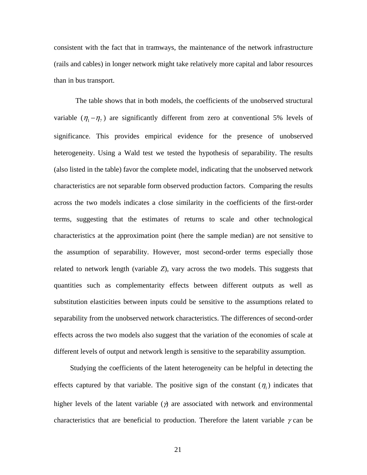consistent with the fact that in tramways, the maintenance of the network infrastructure (rails and cables) in longer network might take relatively more capital and labor resources than in bus transport.

The table shows that in both models, the coefficients of the unobserved structural variable  $(\eta_1 - \eta_7)$  are significantly different from zero at conventional 5% levels of significance. This provides empirical evidence for the presence of unobserved heterogeneity. Using a Wald test we tested the hypothesis of separability. The results (also listed in the table) favor the complete model, indicating that the unobserved network characteristics are not separable form observed production factors. Comparing the results across the two models indicates a close similarity in the coefficients of the first-order terms, suggesting that the estimates of returns to scale and other technological characteristics at the approximation point (here the sample median) are not sensitive to the assumption of separability. However, most second-order terms especially those related to network length (variable *Z*), vary across the two models. This suggests that quantities such as complementarity effects between different outputs as well as substitution elasticities between inputs could be sensitive to the assumptions related to separability from the unobserved network characteristics. The differences of second-order effects across the two models also suggest that the variation of the economies of scale at different levels of output and network length is sensitive to the separability assumption.

Studying the coefficients of the latent heterogeneity can be helpful in detecting the effects captured by that variable. The positive sign of the constant  $(\eta_1)$  indicates that higher levels of the latent variable  $(y)$  are associated with network and environmental characteristics that are beneficial to production. Therefore the latent variable  $\gamma$  can be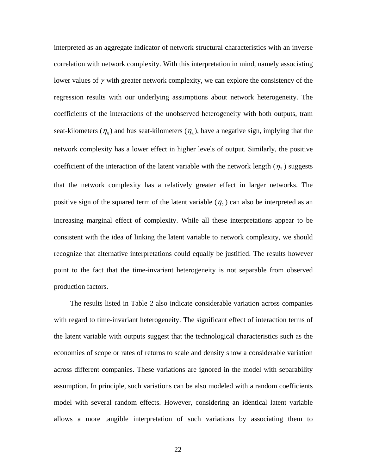interpreted as an aggregate indicator of network structural characteristics with an inverse correlation with network complexity. With this interpretation in mind, namely associating lower values of  $\gamma$  with greater network complexity, we can explore the consistency of the regression results with our underlying assumptions about network heterogeneity. The coefficients of the interactions of the unobserved heterogeneity with both outputs, tram seat-kilometers ( $\eta_5$ ) and bus seat-kilometers ( $\eta_6$ ), have a negative sign, implying that the network complexity has a lower effect in higher levels of output. Similarly, the positive coefficient of the interaction of the latent variable with the network length  $(\eta_7)$  suggests that the network complexity has a relatively greater effect in larger networks. The positive sign of the squared term of the latent variable  $(\eta_2)$  can also be interpreted as an increasing marginal effect of complexity. While all these interpretations appear to be consistent with the idea of linking the latent variable to network complexity, we should recognize that alternative interpretations could equally be justified. The results however point to the fact that the time-invariant heterogeneity is not separable from observed production factors.

The results listed in Table 2 also indicate considerable variation across companies with regard to time-invariant heterogeneity. The significant effect of interaction terms of the latent variable with outputs suggest that the technological characteristics such as the economies of scope or rates of returns to scale and density show a considerable variation across different companies. These variations are ignored in the model with separability assumption. In principle, such variations can be also modeled with a random coefficients model with several random effects. However, considering an identical latent variable allows a more tangible interpretation of such variations by associating them to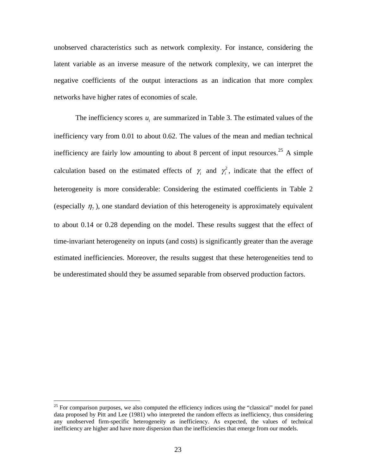unobserved characteristics such as network complexity. For instance, considering the latent variable as an inverse measure of the network complexity, we can interpret the negative coefficients of the output interactions as an indication that more complex networks have higher rates of economies of scale.

The inefficiency scores  $u_i$  are summarized in Table 3. The estimated values of the inefficiency vary from 0.01 to about 0.62. The values of the mean and median technical inefficiency are fairly low amounting to about 8 percent of input resources.<sup>[25](#page-26-0)</sup> A simple calculation based on the estimated effects of  $\gamma$  and  $\gamma$ <sup>2</sup>, indicate that the effect of heterogeneity is more considerable: Considering the estimated coefficients in Table 2 (especially  $\eta_7$ ), one standard deviation of this heterogeneity is approximately equivalent to about 0.14 or 0.28 depending on the model. These results suggest that the effect of time-invariant heterogeneity on inputs (and costs) is significantly greater than the average estimated inefficiencies. Moreover, the results suggest that these heterogeneities tend to be underestimated should they be assumed separable from observed production factors.

 $\overline{a}$ 

<span id="page-26-0"></span> $25$  For comparison purposes, we also computed the efficiency indices using the "classical" model for panel data proposed by Pitt and Lee (1981) who interpreted the random effects as inefficiency, thus considering any unobserved firm-specific heterogeneity as inefficiency. As expected, the values of technical inefficiency are higher and have more dispersion than the inefficiencies that emerge from our models.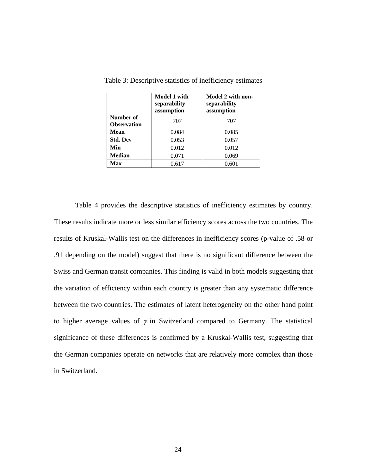|                                 | <b>Model 1 with</b><br>separability<br>assumption | Model 2 with non-<br>separability<br>assumption |
|---------------------------------|---------------------------------------------------|-------------------------------------------------|
| Number of<br><b>Observation</b> | 707                                               | 707                                             |
| <b>Mean</b>                     | 0.084                                             | 0.085                                           |
| <b>Std. Dev</b>                 | 0.053                                             | 0.057                                           |
| Min                             | 0.012                                             | 0.012                                           |
| <b>Median</b>                   | 0.071                                             | 0.069                                           |
| Max                             | 0.617                                             | 0.601                                           |

Table 3: Descriptive statistics of inefficiency estimates

Table 4 provides the descriptive statistics of inefficiency estimates by country. These results indicate more or less similar efficiency scores across the two countries. The results of Kruskal-Wallis test on the differences in inefficiency scores (p-value of .58 or .91 depending on the model) suggest that there is no significant difference between the Swiss and German transit companies. This finding is valid in both models suggesting that the variation of efficiency within each country is greater than any systematic difference between the two countries. The estimates of latent heterogeneity on the other hand point to higher average values of  $\gamma$  in Switzerland compared to Germany. The statistical significance of these differences is confirmed by a Kruskal-Wallis test, suggesting that the German companies operate on networks that are relatively more complex than those in Switzerland.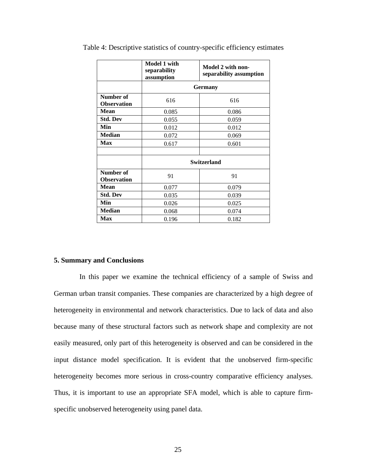|                                 | Model 1 with<br>separability<br>assumption | Model 2 with non-<br>separability assumption |  |  |
|---------------------------------|--------------------------------------------|----------------------------------------------|--|--|
|                                 | <b>Germany</b>                             |                                              |  |  |
| Number of<br><b>Observation</b> | 616                                        | 616                                          |  |  |
| Mean                            | 0.085                                      | 0.086                                        |  |  |
| <b>Std. Dev</b>                 | 0.055                                      | 0.059                                        |  |  |
| Min                             | 0.012                                      | 0.012                                        |  |  |
| <b>Median</b>                   | 0.072                                      | 0.069                                        |  |  |
| <b>Max</b>                      | 0.617                                      | 0.601                                        |  |  |
|                                 |                                            |                                              |  |  |
|                                 | Switzerland                                |                                              |  |  |
| Number of<br><b>Observation</b> | 91                                         | 91                                           |  |  |
| <b>Mean</b>                     | 0.077                                      | 0.079                                        |  |  |
| <b>Std. Dev</b>                 | 0.035                                      | 0.039                                        |  |  |
| Min                             | 0.026                                      | 0.025                                        |  |  |
| <b>Median</b>                   | 0.068                                      | 0.074                                        |  |  |
| <b>Max</b>                      | 0.196                                      | 0.182                                        |  |  |

Table 4: Descriptive statistics of country-specific efficiency estimates

#### **5. Summary and Conclusions**

In this paper we examine the technical efficiency of a sample of Swiss and German urban transit companies. These companies are characterized by a high degree of heterogeneity in environmental and network characteristics. Due to lack of data and also because many of these structural factors such as network shape and complexity are not easily measured, only part of this heterogeneity is observed and can be considered in the input distance model specification. It is evident that the unobserved firm-specific heterogeneity becomes more serious in cross-country comparative efficiency analyses. Thus, it is important to use an appropriate SFA model, which is able to capture firmspecific unobserved heterogeneity using panel data.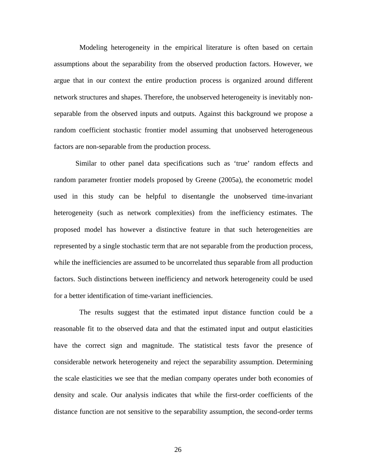Modeling heterogeneity in the empirical literature is often based on certain assumptions about the separability from the observed production factors. However, we argue that in our context the entire production process is organized around different network structures and shapes. Therefore, the unobserved heterogeneity is inevitably nonseparable from the observed inputs and outputs. Against this background we propose a random coefficient stochastic frontier model assuming that unobserved heterogeneous factors are non-separable from the production process.

 Similar to other panel data specifications such as 'true' random effects and random parameter frontier models proposed by Greene (2005a), the econometric model used in this study can be helpful to disentangle the unobserved time-invariant heterogeneity (such as network complexities) from the inefficiency estimates. The proposed model has however a distinctive feature in that such heterogeneities are represented by a single stochastic term that are not separable from the production process, while the inefficiencies are assumed to be uncorrelated thus separable from all production factors. Such distinctions between inefficiency and network heterogeneity could be used for a better identification of time-variant inefficiencies.

The results suggest that the estimated input distance function could be a reasonable fit to the observed data and that the estimated input and output elasticities have the correct sign and magnitude. The statistical tests favor the presence of considerable network heterogeneity and reject the separability assumption. Determining the scale elasticities we see that the median company operates under both economies of density and scale. Our analysis indicates that while the first-order coefficients of the distance function are not sensitive to the separability assumption, the second-order terms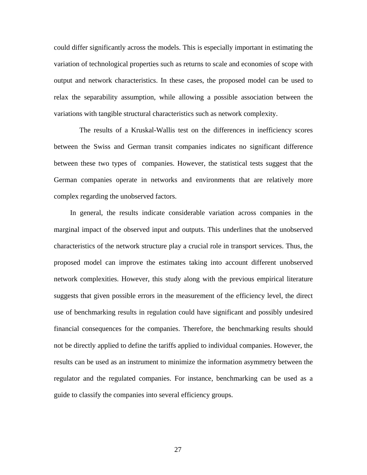could differ significantly across the models. This is especially important in estimating the variation of technological properties such as returns to scale and economies of scope with output and network characteristics. In these cases, the proposed model can be used to relax the separability assumption, while allowing a possible association between the variations with tangible structural characteristics such as network complexity.

The results of a Kruskal-Wallis test on the differences in inefficiency scores between the Swiss and German transit companies indicates no significant difference between these two types of companies. However, the statistical tests suggest that the German companies operate in networks and environments that are relatively more complex regarding the unobserved factors.

In general, the results indicate considerable variation across companies in the marginal impact of the observed input and outputs. This underlines that the unobserved characteristics of the network structure play a crucial role in transport services. Thus, the proposed model can improve the estimates taking into account different unobserved network complexities. However, this study along with the previous empirical literature suggests that given possible errors in the measurement of the efficiency level, the direct use of benchmarking results in regulation could have significant and possibly undesired financial consequences for the companies. Therefore, the benchmarking results should not be directly applied to define the tariffs applied to individual companies. However, the results can be used as an instrument to minimize the information asymmetry between the regulator and the regulated companies. For instance, benchmarking can be used as a guide to classify the companies into several efficiency groups.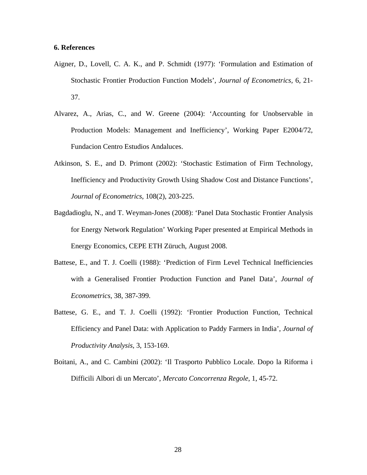#### **6. References**

- Aigner, D., Lovell, C. A. K., and P. Schmidt (1977): 'Formulation and Estimation of Stochastic Frontier Production Function Models', *Journal of Econometrics,* 6, 21- 37.
- Alvarez, A., Arias, C., and W. Greene (2004): 'Accounting for Unobservable in Production Models: Management and Inefficiency', Working Paper E2004/72, Fundacion Centro Estudios Andaluces.
- Atkinson, S. E., and D. Primont (2002): 'Stochastic Estimation of Firm Technology, Inefficiency and Productivity Growth Using Shadow Cost and Distance Functions', *Journal of Econometrics*, 108(2), 203-225.
- Bagdadioglu, N., and T. Weyman-Jones (2008): 'Panel Data Stochastic Frontier Analysis for Energy Network Regulation' Working Paper presented at Empirical Methods in Energy Economics, CEPE ETH Züruch, August 2008.
- Battese, E., and T. J. Coelli (1988): 'Prediction of Firm Level Technical Inefficiencies with a Generalised Frontier Production Function and Panel Data', *Journal of Econometrics*, 38, 387-399.
- Battese, G. E., and T. J. Coelli (1992): 'Frontier Production Function, Technical Efficiency and Panel Data: with Application to Paddy Farmers in India', *Journal of Productivity Analysis*, 3, 153-169.
- Boitani, A., and C. Cambini (2002): 'Il Trasporto Pubblico Locale. Dopo la Riforma i Difficili Albori di un Mercato', *Mercato Concorrenza Regole*, 1, 45-72.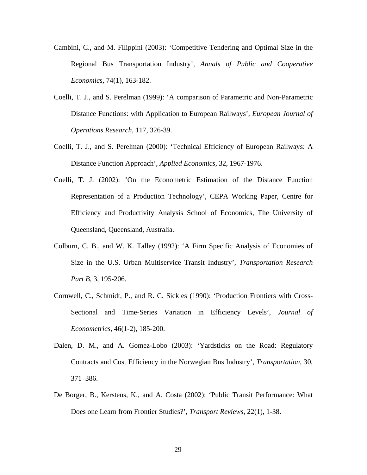- Cambini, C., and M. Filippini (2003): 'Competitive Tendering and Optimal Size in the Regional Bus Transportation Industry', *Annals of Public and Cooperative Economics*, 74(1), 163-182.
- Coelli, T. J., and S. Perelman (1999): 'A comparison of Parametric and Non-Parametric Distance Functions: with Application to European Railways', *European Journal of Operations Research*, 117, 326-39.
- Coelli, T. J., and S. Perelman (2000): 'Technical Efficiency of European Railways: A Distance Function Approach', *Applied Economics*, 32, 1967-1976.
- Coelli, T. J. (2002): 'On the Econometric Estimation of the Distance Function Representation of a Production Technology', CEPA Working Paper, Centre for Efficiency and Productivity Analysis School of Economics, The University of Queensland, Queensland, Australia.
- Colburn, C. B., and W. K. Talley (1992): 'A Firm Specific Analysis of Economies of Size in the U.S. Urban Multiservice Transit Industry', *Transportation Research Part B,* 3, 195-206.
- Cornwell, C., Schmidt, P., and R. C. Sickles (1990): ['Production Frontiers with Cross-](http://ideas.repec.org/a/eee/econom/v46y1990i1-2p185-200.html)[Sectional and Time-Series Variation in Efficiency Levels](http://ideas.repec.org/a/eee/econom/v46y1990i1-2p185-200.html)', *[Journal of](http://ideas.repec.org/s/eee/econom.html)  [Econometrics](http://ideas.repec.org/s/eee/econom.html)*, 46(1-2), 185-200.
- Dalen, D. M., and A. Gomez-Lobo (2003): 'Yardsticks on the Road: Regulatory Contracts and Cost Efficiency in the Norwegian Bus Industry', *Transportation*, 30, 371–386.
- De Borger, B., Kerstens, K., and A. Costa (2002): 'Public Transit Performance: What Does one Learn from Frontier Studies?', *Transport Reviews*, 22(1), 1-38.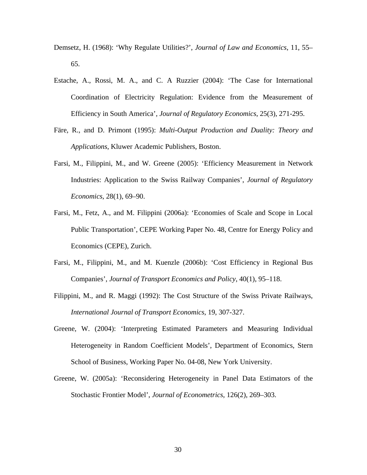- [Demsetz](http://www.sciencedirect.com/science?_ob=ArticleURL&_udi=B6V7M-3VYYF0G-B&_user=4888685&_rdoc=1&_fmt=&_orig=search&_sort=d&view=c&_acct=C000065295&_version=1&_urlVersion=0&_userid=4888685&md5=bb7b67c53dec9477f5c5e1c60cbf0463#bbib6), H. (1968): 'Why Regulate Utilities?', *Journal of Law and Economics*, 11, 55– 65.
- Estache, A., Rossi, M. A., and C. A Ruzzier (2004): 'The Case for International Coordination of Electricity Regulation: Evidence from the Measurement of Efficiency in South America', *Journal of Regulatory Economics*, 25(3), 271-295.
- Färe, R., and D. Primont (1995): *Multi-Output Production and Duality: Theory and Applications*, Kluwer Academic Publishers, Boston.
- Farsi, M., Filippini, M., and W. Greene (2005): 'Efficiency Measurement in Network Industries: Application to the Swiss Railway Companies', *Journal of Regulatory Economics*, 28(1), 69–90.
- Farsi, M., Fetz, A., and M. Filippini (2006a): 'Economies of Scale and Scope in Local Public Transportation', [CEPE Working Paper No. 48,](http://www.cepe.ethz.ch/publications/workingPapers/CEPE_WP48.pdf) Centre for Energy Policy and Economics (CEPE), Zurich.
- Farsi, M., Filippini, M., and M. Kuenzle (2006b): 'Cost Efficiency in Regional Bus Companies', *Journal of Transport Economics and Policy*, 40(1), 95–118.
- Filippini, M., and R. Maggi (1992): The Cost Structure of the Swiss Private Railways, *International Journal of Transport Economics*, 19, 307-327.
- Greene, W. (2004): 'Interpreting Estimated Parameters and Measuring Individual Heterogeneity in Random Coefficient Models', Department of Economics, Stern School of Business, Working Paper No. 04-08, New York University.
- Greene, W. (2005a): 'Reconsidering Heterogeneity in Panel Data Estimators of the Stochastic Frontier Model', *Journal of Econometrics*, 126(2), 269–303.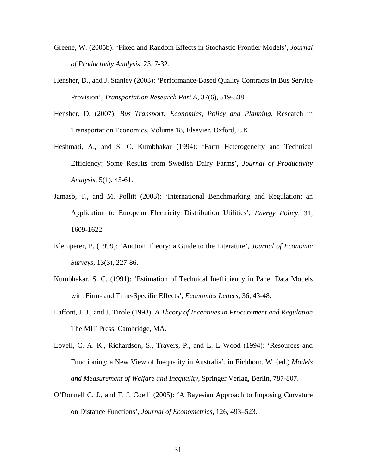- Greene, W. (2005b): 'Fixed and Random Effects in Stochastic Frontier Models', *Journal of Productivity Analysis,* 23, 7-32.
- Hensher, D., and J. Stanley (2003): 'Performance-Based Quality Contracts in Bus Service Provision', *Transportation Research Part A*, 37(6), 519-538.
- Hensher, D. (2007): *Bus Transport: Economics, Policy and Planning,* Research in Transportation Economics, Volume 18, Elsevier, Oxford, UK.
- Heshmati, A., and S. C. Kumbhakar (1994): 'Farm Heterogeneity and Technical Efficiency: Some Results from Swedish Dairy Farms', *Journal of Productivity Analysis*, 5(1), 45-61.
- Jamasb, T., and M. Pollitt (2003): 'International Benchmarking and Regulation: an Application to European Electricity Distribution Utilities', *Energy Policy*, 31, 1609-1622.
- Klemperer, P. (1999): ['Auction Theory: a Guide to the Literature](http://ideas.repec.org/a/bla/jecsur/v13y1999i3p227-86.html)', *[Journal of Economic](http://ideas.repec.org/s/bla/jecsur.html)  [Surveys](http://ideas.repec.org/s/bla/jecsur.html)*, 13(3), 227-86.
- Kumbhakar, S. C. (1991): 'Estimation of Technical Inefficiency in Panel Data Models with Firm- and Time-Specific Effects', *Economics Letters*, 36, 43-48.
- [Laffont,](http://www.sciencedirect.com/science?_ob=ArticleURL&_udi=B6V7M-3VYYF0G-B&_user=4888685&_rdoc=1&_fmt=&_orig=search&_sort=d&view=c&_acct=C000065295&_version=1&_urlVersion=0&_userid=4888685&md5=bb7b67c53dec9477f5c5e1c60cbf0463#bbib11) J. J., and J. Tirole (1993): *A Theory of Incentives in Procurement and Regulation* The MIT Press, Cambridge, MA.
- Lovell, C. A. K., Richardson, S., Travers, P., and L. L Wood (1994): 'Resources and Functioning: a New View of Inequality in Australia', in Eichhorn, W. (ed.) *Models and Measurement of Welfare and Inequality*, Springer Verlag, Berlin, 787-807.
- O'Donnell C. J., and T. J. Coelli (2005): 'A Bayesian Approach to Imposing Curvature on Distance Functions', *Journal of Econometrics*, 126, 493–523.